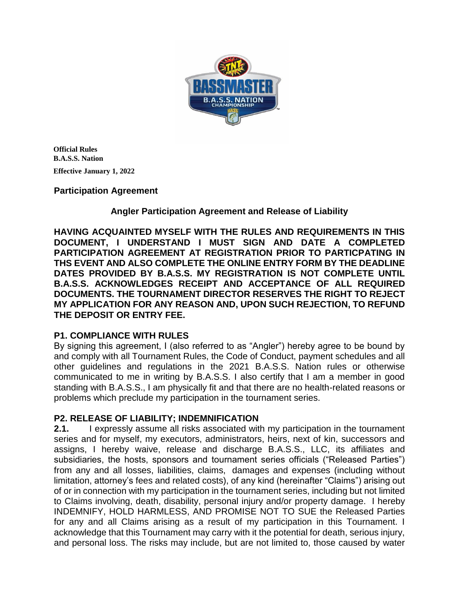

**Official Rules B.A.S.S. Nation Effective January 1, 2022**

# **Participation Agreement**

# **Angler Participation Agreement and Release of Liability**

**HAVING ACQUAINTED MYSELF WITH THE RULES AND REQUIREMENTS IN THIS DOCUMENT, I UNDERSTAND I MUST SIGN AND DATE A COMPLETED PARTICIPATION AGREEMENT AT REGISTRATION PRIOR TO PARTICPATING IN THS EVENT AND ALSO COMPLETE THE ONLINE ENTRY FORM BY THE DEADLINE DATES PROVIDED BY B.A.S.S. MY REGISTRATION IS NOT COMPLETE UNTIL B.A.S.S. ACKNOWLEDGES RECEIPT AND ACCEPTANCE OF ALL REQUIRED DOCUMENTS. THE TOURNAMENT DIRECTOR RESERVES THE RIGHT TO REJECT MY APPLICATION FOR ANY REASON AND, UPON SUCH REJECTION, TO REFUND THE DEPOSIT OR ENTRY FEE.** 

# **P1. COMPLIANCE WITH RULES**

By signing this agreement, I (also referred to as "Angler") hereby agree to be bound by and comply with all Tournament Rules, the Code of Conduct, payment schedules and all other guidelines and regulations in the 2021 B.A.S.S. Nation rules or otherwise communicated to me in writing by B.A.S.S. I also certify that I am a member in good standing with B.A.S.S., I am physically fit and that there are no health-related reasons or problems which preclude my participation in the tournament series.

# **P2. RELEASE OF LIABILITY; INDEMNIFICATION**

**2.1.** I expressly assume all risks associated with my participation in the tournament series and for myself, my executors, administrators, heirs, next of kin, successors and assigns, I hereby waive, release and discharge B.A.S.S., LLC, its affiliates and subsidiaries, the hosts, sponsors and tournament series officials ("Released Parties") from any and all losses, liabilities, claims, damages and expenses (including without limitation, attorney's fees and related costs), of any kind (hereinafter "Claims") arising out of or in connection with my participation in the tournament series, including but not limited to Claims involving, death, disability, personal injury and/or property damage. I hereby INDEMNIFY, HOLD HARMLESS, AND PROMISE NOT TO SUE the Released Parties for any and all Claims arising as a result of my participation in this Tournament. I acknowledge that this Tournament may carry with it the potential for death, serious injury, and personal loss. The risks may include, but are not limited to, those caused by water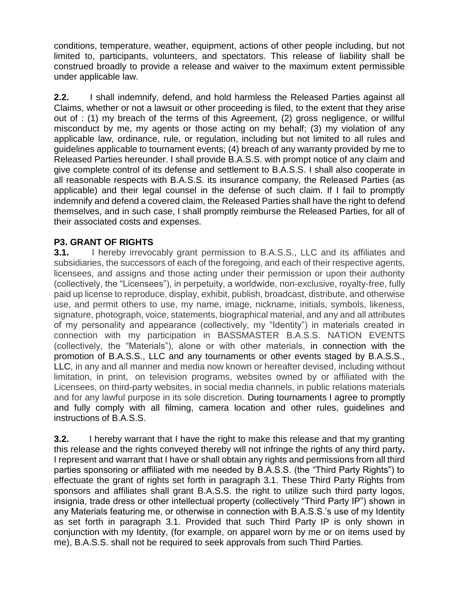conditions, temperature, weather, equipment, actions of other people including, but not limited to, participants, volunteers, and spectators. This release of liability shall be construed broadly to provide a release and waiver to the maximum extent permissible under applicable law.

**2.2.** I shall indemnify, defend, and hold harmless the Released Parties against all Claims, whether or not a lawsuit or other proceeding is filed, to the extent that they arise out of : (1) my breach of the terms of this Agreement, (2) gross negligence, or willful misconduct by me, my agents or those acting on my behalf; (3) my violation of any applicable law, ordinance, rule, or regulation, including but not limited to all rules and guidelines applicable to tournament events; (4) breach of any warranty provided by me to Released Parties hereunder. I shall provide B.A.S.S. with prompt notice of any claim and give complete control of its defense and settlement to B.A.S.S. I shall also cooperate in all reasonable respects with B.A.S.S. its insurance company, the Released Parties (as applicable) and their legal counsel in the defense of such claim. If I fail to promptly indemnify and defend a covered claim, the Released Parties shall have the right to defend themselves, and in such case, I shall promptly reimburse the Released Parties, for all of their associated costs and expenses.

# **P3. GRANT OF RIGHTS**

**3.1.** I hereby irrevocably grant permission to B.A.S.S., LLC and its affiliates and subsidiaries, the successors of each of the foregoing, and each of their respective agents, licensees, and assigns and those acting under their permission or upon their authority (collectively, the "Licensees"), in perpetuity, a worldwide, non-exclusive, royalty-free, fully paid up license to reproduce, display, exhibit, publish, broadcast, distribute, and otherwise use, and permit others to use, my name, image, nickname, initials, symbols, likeness, signature, photograph, voice, statements, biographical material, and any and all attributes of my personality and appearance (collectively, my "Identity") in materials created in connection with my participation in BASSMASTER B.A.S.S. NATION EVENTS (collectively, the "Materials"), alone or with other materials, in connection with the promotion of B.A.S.S., LLC and any tournaments or other events staged by B.A.S.S., LLC, in any and all manner and media now known or hereafter devised, including without limitation, in print, on television programs, websites owned by or affiliated with the Licensees, on third-party websites, in social media channels, in public relations materials and for any lawful purpose in its sole discretion. During tournaments I agree to promptly and fully comply with all filming, camera location and other rules, guidelines and instructions of B.A.S.S.

**3.2.** I hereby warrant that I have the right to make this release and that my granting this release and the rights conveyed thereby will not infringe the rights of any third party**.** I represent and warrant that I have or shall obtain any rights and permissions from all third parties sponsoring or affiliated with me needed by B.A.S.S. (the "Third Party Rights") to effectuate the grant of rights set forth in paragraph 3.1. These Third Party Rights from sponsors and affiliates shall grant B.A.S.S. the right to utilize such third party logos, insignia, trade dress or other intellectual property (collectively "Third Party IP") shown in any Materials featuring me, or otherwise in connection with B.A.S.S.'s use of my Identity as set forth in paragraph 3.1. Provided that such Third Party IP is only shown in conjunction with my Identity, (for example, on apparel worn by me or on items used by me), B.A.S.S. shall not be required to seek approvals from such Third Parties.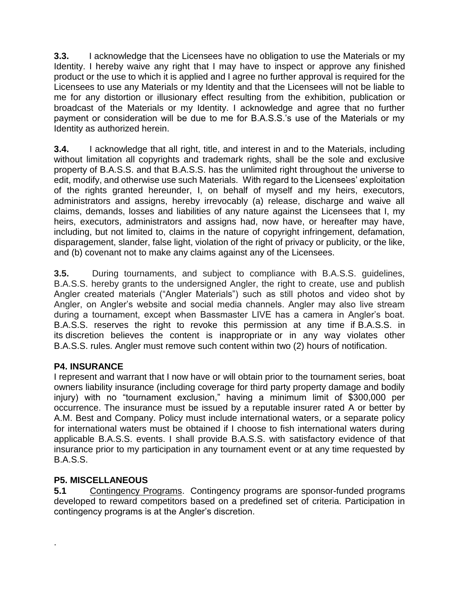**3.3.** I acknowledge that the Licensees have no obligation to use the Materials or my Identity. I hereby waive any right that I may have to inspect or approve any finished product or the use to which it is applied and I agree no further approval is required for the Licensees to use any Materials or my Identity and that the Licensees will not be liable to me for any distortion or illusionary effect resulting from the exhibition, publication or broadcast of the Materials or my Identity. I acknowledge and agree that no further payment or consideration will be due to me for B.A.S.S.'s use of the Materials or my Identity as authorized herein.

**3.4.** I acknowledge that all right, title, and interest in and to the Materials, including without limitation all copyrights and trademark rights, shall be the sole and exclusive property of B.A.S.S. and that B.A.S.S. has the unlimited right throughout the universe to edit, modify, and otherwise use such Materials. With regard to the Licensees' exploitation of the rights granted hereunder, I, on behalf of myself and my heirs, executors, administrators and assigns, hereby irrevocably (a) release, discharge and waive all claims, demands, losses and liabilities of any nature against the Licensees that I, my heirs, executors, administrators and assigns had, now have, or hereafter may have, including, but not limited to, claims in the nature of copyright infringement, defamation, disparagement, slander, false light, violation of the right of privacy or publicity, or the like, and (b) covenant not to make any claims against any of the Licensees.

**3.5.** During tournaments, and subject to compliance with B.A.S.S. guidelines, B.A.S.S. hereby grants to the undersigned Angler, the right to create, use and publish Angler created materials ("Angler Materials") such as still photos and video shot by Angler, on Angler's website and social media channels. Angler may also live stream during a tournament, except when Bassmaster LIVE has a camera in Angler's boat. B.A.S.S. reserves the right to revoke this permission at any time if B.A.S.S. in its discretion believes the content is inappropriate or in any way violates other B.A.S.S. rules. Angler must remove such content within two (2) hours of notification.

# **P4. INSURANCE**

I represent and warrant that I now have or will obtain prior to the tournament series, boat owners liability insurance (including coverage for third party property damage and bodily injury) with no "tournament exclusion," having a minimum limit of \$300,000 per occurrence. The insurance must be issued by a reputable insurer rated A or better by A.M. Best and Company. Policy must include international waters, or a separate policy for international waters must be obtained if I choose to fish international waters during applicable B.A.S.S. events. I shall provide B.A.S.S. with satisfactory evidence of that insurance prior to my participation in any tournament event or at any time requested by B.A.S.S.

# **P5. MISCELLANEOUS**

.

**5.1** Contingency Programs. Contingency programs are sponsor-funded programs developed to reward competitors based on a predefined set of criteria. Participation in contingency programs is at the Angler's discretion.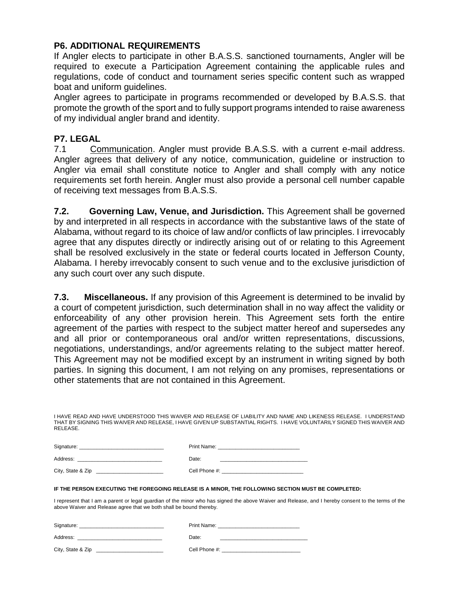# **P6. ADDITIONAL REQUIREMENTS**

If Angler elects to participate in other B.A.S.S. sanctioned tournaments, Angler will be required to execute a Participation Agreement containing the applicable rules and regulations, code of conduct and tournament series specific content such as wrapped boat and uniform guidelines.

Angler agrees to participate in programs recommended or developed by B.A.S.S. that promote the growth of the sport and to fully support programs intended to raise awareness of my individual angler brand and identity.

# **P7. LEGAL**

7.1 Communication. Angler must provide B.A.S.S. with a current e-mail address. Angler agrees that delivery of any notice, communication, guideline or instruction to Angler via email shall constitute notice to Angler and shall comply with any notice requirements set forth herein. Angler must also provide a personal cell number capable of receiving text messages from B.A.S.S.

**7.2. Governing Law, Venue, and Jurisdiction.** This Agreement shall be governed by and interpreted in all respects in accordance with the substantive laws of the state of Alabama, without regard to its choice of law and/or conflicts of law principles. I irrevocably agree that any disputes directly or indirectly arising out of or relating to this Agreement shall be resolved exclusively in the state or federal courts located in Jefferson County, Alabama. I hereby irrevocably consent to such venue and to the exclusive jurisdiction of any such court over any such dispute.

**7.3. Miscellaneous.** If any provision of this Agreement is determined to be invalid by a court of competent jurisdiction, such determination shall in no way affect the validity or enforceability of any other provision herein. This Agreement sets forth the entire agreement of the parties with respect to the subject matter hereof and supersedes any and all prior or contemporaneous oral and/or written representations, discussions, negotiations, understandings, and/or agreements relating to the subject matter hereof. This Agreement may not be modified except by an instrument in writing signed by both parties. In signing this document, I am not relying on any promises, representations or other statements that are not contained in this Agreement.

| I HAVE READ AND HAVE UNDERSTOOD THIS WAIVER AND RELEASE OF LIABILITY AND NAME AND LIKENESS RELEASE. I UNDERSTAND       |  |  |
|------------------------------------------------------------------------------------------------------------------------|--|--|
| THAT BY SIGNING THIS WAIVER AND RELEASE. I HAVE GIVEN UP SUBSTANTIAL RIGHTS. I HAVE VOLUNTARILY SIGNED THIS WAIVER AND |  |  |
| RELEASE.                                                                                                               |  |  |

| Signature:        | Print Name:   |
|-------------------|---------------|
| Address:          | Date:         |
| City, State & Zip | Cell Phone #: |

#### **IF THE PERSON EXECUTING THE FOREGOING RELEASE IS A MINOR, THE FOLLOWING SECTION MUST BE COMPLETED:**

I represent that I am a parent or legal guardian of the minor who has signed the above Waiver and Release, and I hereby consent to the terms of the above Waiver and Release agree that we both shall be bound thereby.

| Signature:        | Print Name:   |
|-------------------|---------------|
| Address:          | Date:         |
| City, State & Zip | Cell Phone #: |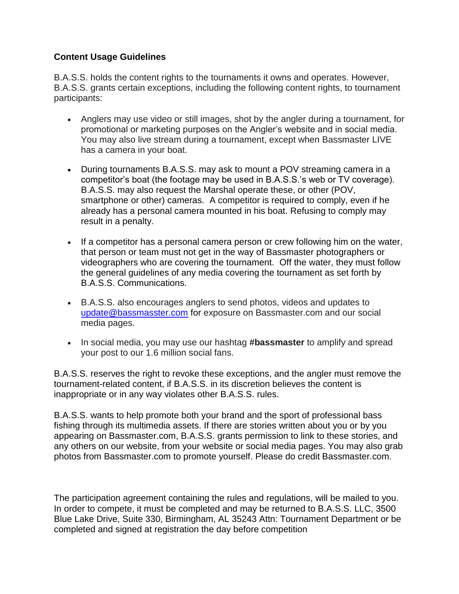# **Content Usage Guidelines**

B.A.S.S. holds the content rights to the tournaments it owns and operates. However, B.A.S.S. grants certain exceptions, including the following content rights, to tournament participants:

- Anglers may use video or still images, shot by the angler during a tournament, for promotional or marketing purposes on the Angler's website and in social media. You may also live stream during a tournament, except when Bassmaster LIVE has a camera in your boat.
- During tournaments B.A.S.S. may ask to mount a POV streaming camera in a competitor's boat (the footage may be used in B.A.S.S.'s web or TV coverage). B.A.S.S. may also request the Marshal operate these, or other (POV, smartphone or other) cameras. A competitor is required to comply, even if he already has a personal camera mounted in his boat. Refusing to comply may result in a penalty.
- If a competitor has a personal camera person or crew following him on the water, that person or team must not get in the way of Bassmaster photographers or videographers who are covering the tournament. Off the water, they must follow the general guidelines of any media covering the tournament as set forth by B.A.S.S. Communications.
- B.A.S.S. also encourages anglers to send photos, videos and updates to [update@bassmasster.com](mailto:update@bassmasster.com) for exposure on Bassmaster.com and our social media pages.
- In social media, you may use our hashtag **#bassmaster** to amplify and spread your post to our 1.6 million social fans.

B.A.S.S. reserves the right to revoke these exceptions, and the angler must remove the tournament-related content, if B.A.S.S. in its discretion believes the content is inappropriate or in any way violates other B.A.S.S. rules.

B.A.S.S. wants to help promote both your brand and the sport of professional bass fishing through its multimedia assets. If there are stories written about you or by you appearing on Bassmaster.com, B.A.S.S. grants permission to link to these stories, and any others on our website, from your website or social media pages. You may also grab photos from Bassmaster.com to promote yourself. Please do credit Bassmaster.com.

The participation agreement containing the rules and regulations, will be mailed to you. In order to compete, it must be completed and may be returned to B.A.S.S. LLC, 3500 Blue Lake Drive, Suite 330, Birmingham, AL 35243 Attn: Tournament Department or be completed and signed at registration the day before competition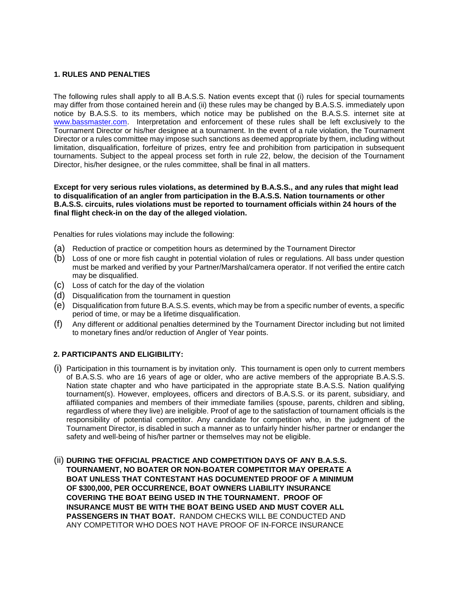### **1. RULES AND PENALTIES**

The following rules shall apply to all B.A.S.S. Nation events except that (i) rules for special tournaments may differ from those contained herein and (ii) these rules may be changed by B.A.S.S. immediately upon notice by B.A.S.S. to its members, which notice may be published on the B.A.S.S. internet site a[t](http://www.bassmaster.com/) [www.bassmaster.com.](http://www.bassmaster.com/) Interpretation and enforcement of these rules shall be left exclusively to the Tournament Director or his/her designee at a tournament. In the event of a rule violation, the Tournament Director or a rules committee may impose such sanctions as deemed appropriate by them, including without limitation, disqualification, forfeiture of prizes, entry fee and prohibition from participation in subsequent tournaments. Subject to the appeal process set forth in rule 22, below, the decision of the Tournament Director, his/her designee, or the rules committee, shall be final in all matters.

**Except for very serious rules violations, as determined by B.A.S.S., and any rules that might lead to disqualification of an angler from participation in the B.A.S.S. Nation tournaments or other B.A.S.S. circuits, rules violations must be reported to tournament officials within 24 hours of the final flight check-in on the day of the alleged violation.** 

Penalties for rules violations may include the following:

- (a) Reduction of practice or competition hours as determined by the Tournament Director
- (b) Loss of one or more fish caught in potential violation of rules or regulations. All bass under question must be marked and verified by your Partner/Marshal/camera operator. If not verified the entire catch may be disqualified.
- (c) Loss of catch for the day of the violation
- (d) Disqualification from the tournament in question
- (e) Disqualification from future B.A.S.S. events, which may be from a specific number of events, a specific period of time, or may be a lifetime disqualification.
- (f) Any different or additional penalties determined by the Tournament Director including but not limited to monetary fines and/or reduction of Angler of Year points.

#### **2. PARTICIPANTS AND ELIGIBILITY:**

- (i) Participation in this tournament is by invitation only. This tournament is open only to current members of B.A.S.S. who are 16 years of age or older, who are active members of the appropriate B.A.S.S. Nation state chapter and who have participated in the appropriate state B.A.S.S. Nation qualifying tournament(s). However, employees, officers and directors of B.A.S.S. or its parent, subsidiary, and affiliated companies and members of their immediate families (spouse, parents, children and sibling, regardless of where they live) are ineligible. Proof of age to the satisfaction of tournament officials is the responsibility of potential competitor. Any candidate for competition who, in the judgment of the Tournament Director, is disabled in such a manner as to unfairly hinder his/her partner or endanger the safety and well-being of his/her partner or themselves may not be eligible.
- (ii) **DURING THE OFFICIAL PRACTICE AND COMPETITION DAYS OF ANY B.A.S.S. TOURNAMENT, NO BOATER OR NON-BOATER COMPETITOR MAY OPERATE A BOAT UNLESS THAT CONTESTANT HAS DOCUMENTED PROOF OF A MINIMUM OF \$300,000, PER OCCURRENCE, BOAT OWNERS LIABILITY INSURANCE COVERING THE BOAT BEING USED IN THE TOURNAMENT. PROOF OF INSURANCE MUST BE WITH THE BOAT BEING USED AND MUST COVER ALL PASSENGERS IN THAT BOAT.** RANDOM CHECKS WILL BE CONDUCTED AND ANY COMPETITOR WHO DOES NOT HAVE PROOF OF IN-FORCE INSURANCE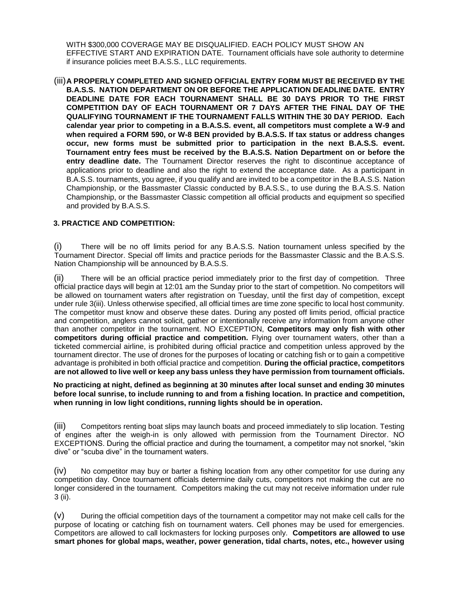WITH \$300,000 COVERAGE MAY BE DISQUALIFIED. EACH POLICY MUST SHOW AN EFFECTIVE START AND EXPIRATION DATE. Tournament officials have sole authority to determine if insurance policies meet B.A.S.S., LLC requirements.

(iii)**A PROPERLY COMPLETED AND SIGNED OFFICIAL ENTRY FORM MUST BE RECEIVED BY THE B.A.S.S. NATION DEPARTMENT ON OR BEFORE THE APPLICATION DEADLINE DATE. ENTRY DEADLINE DATE FOR EACH TOURNAMENT SHALL BE 30 DAYS PRIOR TO THE FIRST COMPETITION DAY OF EACH TOURNAMENT OR 7 DAYS AFTER THE FINAL DAY OF THE QUALIFYING TOURNAMENT IF THE TOURNAMENT FALLS WITHIN THE 30 DAY PERIOD. Each calendar year prior to competing in a B.A.S.S. event, all competitors must complete a W-9 and when required a FORM 590, or W-8 BEN provided by B.A.S.S. If tax status or address changes occur, new forms must be submitted prior to participation in the next B.A.S.S. event. Tournament entry fees must be received by the B.A.S.S. Nation Department on or before the entry deadline date.** The Tournament Director reserves the right to discontinue acceptance of applications prior to deadline and also the right to extend the acceptance date. As a participant in B.A.S.S. tournaments, you agree, if you qualify and are invited to be a competitor in the B.A.S.S. Nation Championship, or the Bassmaster Classic conducted by B.A.S.S., to use during the B.A.S.S. Nation Championship, or the Bassmaster Classic competition all official products and equipment so specified and provided by B.A.S.S.

# **3. PRACTICE AND COMPETITION:**

(i) There will be no off limits period for any B.A.S.S. Nation tournament unless specified by the Tournament Director. Special off limits and practice periods for the Bassmaster Classic and the B.A.S.S. Nation Championship will be announced by B.A.S.S.

(ii) There will be an official practice period immediately prior to the first day of competition. Three official practice days will begin at 12:01 am the Sunday prior to the start of competition. No competitors will be allowed on tournament waters after registration on Tuesday, until the first day of competition, except under rule 3(iii). Unless otherwise specified, all official times are time zone specific to local host community. The competitor must know and observe these dates. During any posted off limits period, official practice and competition, anglers cannot solicit, gather or intentionally receive any information from anyone other than another competitor in the tournament. NO EXCEPTION, **Competitors may only fish with other competitors during official practice and competition.** Flying over tournament waters, other than a ticketed commercial airline, is prohibited during official practice and competition unless approved by the tournament director. The use of drones for the purposes of locating or catching fish or to gain a competitive advantage is prohibited in both official practice and competition. **During the official practice, competitors are not allowed to live well or keep any bass unless they have permission from tournament officials.** 

**No practicing at night, defined as beginning at 30 minutes after local sunset and ending 30 minutes before local sunrise, to include running to and from a fishing location. In practice and competition, when running in low light conditions, running lights should be in operation.** 

(iii) Competitors renting boat slips may launch boats and proceed immediately to slip location. Testing of engines after the weigh-in is only allowed with permission from the Tournament Director. NO EXCEPTIONS. During the official practice and during the tournament, a competitor may not snorkel, "skin dive" or "scuba dive" in the tournament waters.

(iv) No competitor may buy or barter a fishing location from any other competitor for use during any competition day. Once tournament officials determine daily cuts, competitors not making the cut are no longer considered in the tournament. Competitors making the cut may not receive information under rule 3 (ii).

(v) During the official competition days of the tournament a competitor may not make cell calls for the purpose of locating or catching fish on tournament waters. Cell phones may be used for emergencies. Competitors are allowed to call lockmasters for locking purposes only. **Competitors are allowed to use smart phones for global maps, weather, power generation, tidal charts, notes, etc., however using**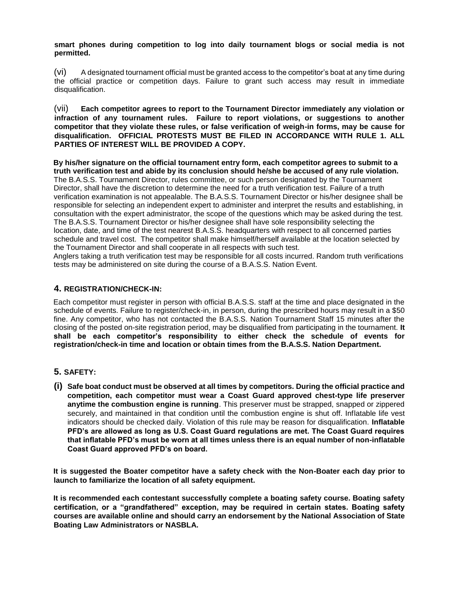**smart phones during competition to log into daily tournament blogs or social media is not permitted.**

(vi) A designated tournament official must be granted access to the competitor's boat at any time during the official practice or competition days. Failure to grant such access may result in immediate disqualification.

(vii) **Each competitor agrees to report to the Tournament Director immediately any violation or infraction of any tournament rules. Failure to report violations, or suggestions to another competitor that they violate these rules, or false verification of weigh-in forms, may be cause for disqualification. OFFICIAL PROTESTS MUST BE FILED IN ACCORDANCE WITH RULE 1. ALL PARTIES OF INTEREST WILL BE PROVIDED A COPY.** 

**By his/her signature on the official tournament entry form, each competitor agrees to submit to a truth verification test and abide by its conclusion should he/she be accused of any rule violation.** The B.A.S.S. Tournament Director, rules committee, or such person designated by the Tournament Director, shall have the discretion to determine the need for a truth verification test. Failure of a truth verification examination is not appealable. The B.A.S.S. Tournament Director or his/her designee shall be responsible for selecting an independent expert to administer and interpret the results and establishing, in consultation with the expert administrator, the scope of the questions which may be asked during the test. The B.A.S.S. Tournament Director or his/her designee shall have sole responsibility selecting the location, date, and time of the test nearest B.A.S.S. headquarters with respect to all concerned parties schedule and travel cost. The competitor shall make himself/herself available at the location selected by the Tournament Director and shall cooperate in all respects with such test.

Anglers taking a truth verification test may be responsible for all costs incurred. Random truth verifications tests may be administered on site during the course of a B.A.S.S. Nation Event.

### **4. REGISTRATION/CHECK-IN:**

Each competitor must register in person with official B.A.S.S. staff at the time and place designated in the schedule of events. Failure to register/check-in, in person, during the prescribed hours may result in a \$50 fine. Any competitor, who has not contacted the B.A.S.S. Nation Tournament Staff 15 minutes after the closing of the posted on-site registration period, may be disqualified from participating in the tournament. **It shall be each competitor's responsibility to either check the schedule of events for registration/check-in time and location or obtain times from the B.A.S.S. Nation Department.** 

### **5. SAFETY:**

**(i) Safe boat conduct must be observed at all times by competitors. During the official practice and competition, each competitor must wear a Coast Guard approved chest-type life preserver anytime the combustion engine is running**. This preserver must be strapped, snapped or zippered securely, and maintained in that condition until the combustion engine is shut off. Inflatable life vest indicators should be checked daily. Violation of this rule may be reason for disqualification. **Inflatable PFD's are allowed as long as U.S. Coast Guard regulations are met. The Coast Guard requires that inflatable PFD's must be worn at all times unless there is an equal number of non-inflatable Coast Guard approved PFD's on board.** 

**It is suggested the Boater competitor have a safety check with the Non-Boater each day prior to launch to familiarize the location of all safety equipment.** 

**It is recommended each contestant successfully complete a boating safety course. Boating safety certification, or a "grandfathered" exception, may be required in certain states. Boating safety courses are available online and should carry an endorsement by the National Association of State Boating Law Administrators or NASBLA.**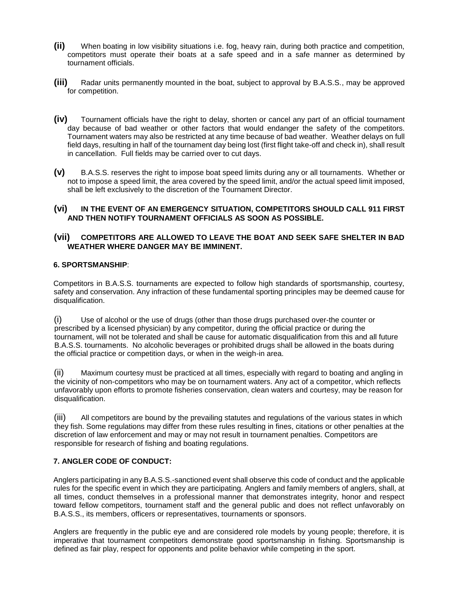- **(ii)** When boating in low visibility situations i.e. fog, heavy rain, during both practice and competition, competitors must operate their boats at a safe speed and in a safe manner as determined by tournament officials.
- **(iii)** Radar units permanently mounted in the boat, subject to approval by B.A.S.S., may be approved for competition.
- **(iv)** Tournament officials have the right to delay, shorten or cancel any part of an official tournament day because of bad weather or other factors that would endanger the safety of the competitors. Tournament waters may also be restricted at any time because of bad weather. Weather delays on full field days, resulting in half of the tournament day being lost (first flight take-off and check in), shall result in cancellation. Full fields may be carried over to cut days.
- **(v)** B.A.S.S. reserves the right to impose boat speed limits during any or all tournaments. Whether or not to impose a speed limit, the area covered by the speed limit, and/or the actual speed limit imposed, shall be left exclusively to the discretion of the Tournament Director.

### **(vi) IN THE EVENT OF AN EMERGENCY SITUATION, COMPETITORS SHOULD CALL 911 FIRST AND THEN NOTIFY TOURNAMENT OFFICIALS AS SOON AS POSSIBLE.**

### **(vii) COMPETITORS ARE ALLOWED TO LEAVE THE BOAT AND SEEK SAFE SHELTER IN BAD WEATHER WHERE DANGER MAY BE IMMINENT.**

### **6. SPORTSMANSHIP**:

Competitors in B.A.S.S. tournaments are expected to follow high standards of sportsmanship, courtesy, safety and conservation. Any infraction of these fundamental sporting principles may be deemed cause for disqualification.

(i) Use of alcohol or the use of drugs (other than those drugs purchased over-the counter or prescribed by a licensed physician) by any competitor, during the official practice or during the tournament, will not be tolerated and shall be cause for automatic disqualification from this and all future B.A.S.S. tournaments. No alcoholic beverages or prohibited drugs shall be allowed in the boats during the official practice or competition days, or when in the weigh-in area.

(ii) Maximum courtesy must be practiced at all times, especially with regard to boating and angling in the vicinity of non-competitors who may be on tournament waters. Any act of a competitor, which reflects unfavorably upon efforts to promote fisheries conservation, clean waters and courtesy, may be reason for disqualification.

(iii) All competitors are bound by the prevailing statutes and regulations of the various states in which they fish. Some regulations may differ from these rules resulting in fines, citations or other penalties at the discretion of law enforcement and may or may not result in tournament penalties. Competitors are responsible for research of fishing and boating regulations.

## **7. ANGLER CODE OF CONDUCT:**

Anglers participating in any B.A.S.S.-sanctioned event shall observe this code of conduct and the applicable rules for the specific event in which they are participating. Anglers and family members of anglers, shall, at all times, conduct themselves in a professional manner that demonstrates integrity, honor and respect toward fellow competitors, tournament staff and the general public and does not reflect unfavorably on B.A.S.S., its members, officers or representatives, tournaments or sponsors.

Anglers are frequently in the public eye and are considered role models by young people; therefore, it is imperative that tournament competitors demonstrate good sportsmanship in fishing. Sportsmanship is defined as fair play, respect for opponents and polite behavior while competing in the sport.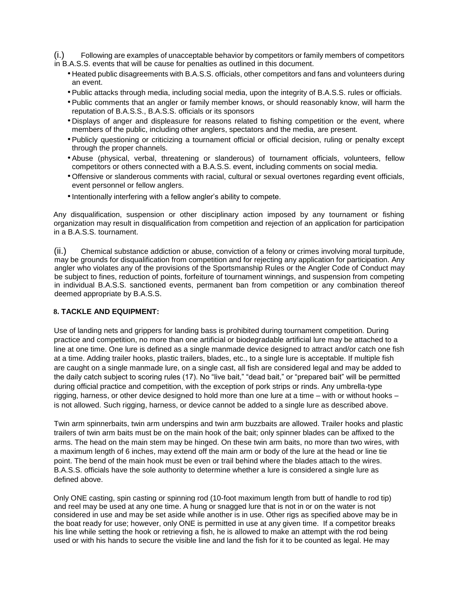(i.) Following are examples of unacceptable behavior by competitors or family members of competitors in B.A.S.S. events that will be cause for penalties as outlined in this document.

- Heated public disagreements with B.A.S.S. officials, other competitors and fans and volunteers during an event.
- Public attacks through media, including social media, upon the integrity of B.A.S.S. rules or officials.
- Public comments that an angler or family member knows, or should reasonably know, will harm the reputation of B.A.S.S., B.A.S.S. officials or its sponsors
- Displays of anger and displeasure for reasons related to fishing competition or the event, where members of the public, including other anglers, spectators and the media, are present.
- Publicly questioning or criticizing a tournament official or official decision, ruling or penalty except through the proper channels.
- Abuse (physical, verbal, threatening or slanderous) of tournament officials, volunteers, fellow competitors or others connected with a B.A.S.S. event, including comments on social media.
- Offensive or slanderous comments with racial, cultural or sexual overtones regarding event officials, event personnel or fellow anglers.
- •Intentionally interfering with a fellow angler's ability to compete.

Any disqualification, suspension or other disciplinary action imposed by any tournament or fishing organization may result in disqualification from competition and rejection of an application for participation in a B.A.S.S. tournament.

(ii.) Chemical substance addiction or abuse, conviction of a felony or crimes involving moral turpitude, may be grounds for disqualification from competition and for rejecting any application for participation. Any angler who violates any of the provisions of the Sportsmanship Rules or the Angler Code of Conduct may be subject to fines, reduction of points, forfeiture of tournament winnings, and suspension from competing in individual B.A.S.S. sanctioned events, permanent ban from competition or any combination thereof deemed appropriate by B.A.S.S.

#### **8. TACKLE AND EQUIPMENT:**

Use of landing nets and grippers for landing bass is prohibited during tournament competition. During practice and competition, no more than one artificial or biodegradable artificial lure may be attached to a line at one time. One lure is defined as a single manmade device designed to attract and/or catch one fish at a time. Adding trailer hooks, plastic trailers, blades, etc., to a single lure is acceptable. If multiple fish are caught on a single manmade lure, on a single cast, all fish are considered legal and may be added to the daily catch subject to scoring rules (17). No "live bait," "dead bait," or "prepared bait" will be permitted during official practice and competition, with the exception of pork strips or rinds. Any umbrella-type rigging, harness, or other device designed to hold more than one lure at a time – with or without hooks – is not allowed. Such rigging, harness, or device cannot be added to a single lure as described above.

Twin arm spinnerbaits, twin arm underspins and twin arm buzzbaits are allowed. Trailer hooks and plastic trailers of twin arm baits must be on the main hook of the bait; only spinner blades can be affixed to the arms. The head on the main stem may be hinged. On these twin arm baits, no more than two wires, with a maximum length of 6 inches, may extend off the main arm or body of the lure at the head or line tie point. The bend of the main hook must be even or trail behind where the blades attach to the wires. B.A.S.S. officials have the sole authority to determine whether a lure is considered a single lure as defined above.

Only ONE casting, spin casting or spinning rod (10-foot maximum length from butt of handle to rod tip) and reel may be used at any one time. A hung or snagged lure that is not in or on the water is not considered in use and may be set aside while another is in use. Other rigs as specified above may be in the boat ready for use; however, only ONE is permitted in use at any given time. If a competitor breaks his line while setting the hook or retrieving a fish, he is allowed to make an attempt with the rod being used or with his hands to secure the visible line and land the fish for it to be counted as legal. He may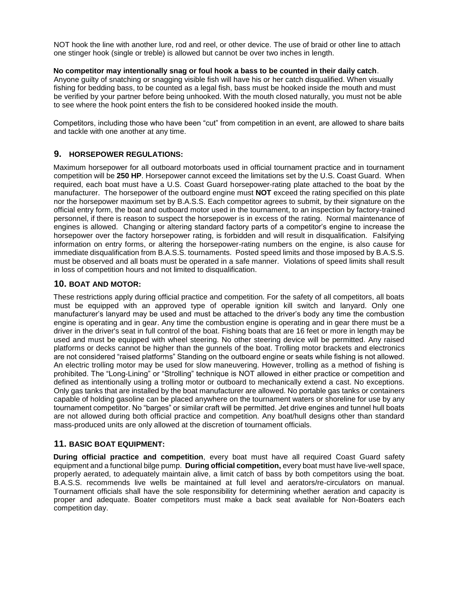NOT hook the line with another lure, rod and reel, or other device. The use of braid or other line to attach one stinger hook (single or treble) is allowed but cannot be over two inches in length.

#### **No competitor may intentionally snag or foul hook a bass to be counted in their daily catch**.

Anyone guilty of snatching or snagging visible fish will have his or her catch disqualified. When visually fishing for bedding bass, to be counted as a legal fish, bass must be hooked inside the mouth and must be verified by your partner before being unhooked. With the mouth closed naturally, you must not be able to see where the hook point enters the fish to be considered hooked inside the mouth.

Competitors, including those who have been "cut" from competition in an event, are allowed to share baits and tackle with one another at any time.

### **9. HORSEPOWER REGULATIONS:**

Maximum horsepower for all outboard motorboats used in official tournament practice and in tournament competition will be **250 HP**. Horsepower cannot exceed the limitations set by the U.S. Coast Guard. When required, each boat must have a U.S. Coast Guard horsepower-rating plate attached to the boat by the manufacturer. The horsepower of the outboard engine must **NOT** exceed the rating specified on this plate nor the horsepower maximum set by B.A.S.S. Each competitor agrees to submit, by their signature on the official entry form, the boat and outboard motor used in the tournament, to an inspection by factory-trained personnel, if there is reason to suspect the horsepower is in excess of the rating. Normal maintenance of engines is allowed. Changing or altering standard factory parts of a competitor's engine to increase the horsepower over the factory horsepower rating, is forbidden and will result in disqualification. Falsifying information on entry forms, or altering the horsepower-rating numbers on the engine, is also cause for immediate disqualification from B.A.S.S. tournaments. Posted speed limits and those imposed by B.A.S.S. must be observed and all boats must be operated in a safe manner. Violations of speed limits shall result in loss of competition hours and not limited to disqualification.

### **10. BOAT AND MOTOR:**

These restrictions apply during official practice and competition. For the safety of all competitors, all boats must be equipped with an approved type of operable ignition kill switch and lanyard. Only one manufacturer's lanyard may be used and must be attached to the driver's body any time the combustion engine is operating and in gear. Any time the combustion engine is operating and in gear there must be a driver in the driver's seat in full control of the boat. Fishing boats that are 16 feet or more in length may be used and must be equipped with wheel steering. No other steering device will be permitted. Any raised platforms or decks cannot be higher than the gunnels of the boat. Trolling motor brackets and electronics are not considered "raised platforms" Standing on the outboard engine or seats while fishing is not allowed. An electric trolling motor may be used for slow maneuvering. However, trolling as a method of fishing is prohibited. The "Long-Lining" or "Strolling" technique is NOT allowed in either practice or competition and defined as intentionally using a trolling motor or outboard to mechanically extend a cast. No exceptions. Only gas tanks that are installed by the boat manufacturer are allowed. No portable gas tanks or containers capable of holding gasoline can be placed anywhere on the tournament waters or shoreline for use by any tournament competitor. No "barges" or similar craft will be permitted. Jet drive engines and tunnel hull boats are not allowed during both official practice and competition. Any boat/hull designs other than standard mass-produced units are only allowed at the discretion of tournament officials.

#### **11. BASIC BOAT EQUIPMENT:**

**During official practice and competition**, every boat must have all required Coast Guard safety equipment and a functional bilge pump. **During official competition,** every boat must have live-well space, properly aerated, to adequately maintain alive, a limit catch of bass by both competitors using the boat. B.A.S.S. recommends live wells be maintained at full level and aerators/re-circulators on manual. Tournament officials shall have the sole responsibility for determining whether aeration and capacity is proper and adequate. Boater competitors must make a back seat available for Non-Boaters each competition day.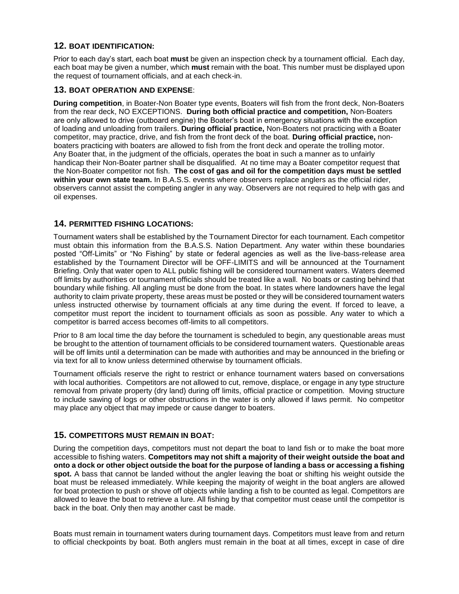# **12. BOAT IDENTIFICATION:**

Prior to each day's start, each boat **must** be given an inspection check by a tournament official. Each day, each boat may be given a number, which **must** remain with the boat. This number must be displayed upon the request of tournament officials, and at each check-in.

## **13. BOAT OPERATION AND EXPENSE**:

**During competition**, in Boater-Non Boater type events, Boaters will fish from the front deck, Non-Boaters from the rear deck, NO EXCEPTIONS. **During both official practice and competition,** Non-Boaters are only allowed to drive (outboard engine) the Boater's boat in emergency situations with the exception of loading and unloading from trailers. **During official practice,** Non-Boaters not practicing with a Boater competitor, may practice, drive, and fish from the front deck of the boat. **During official practice,** nonboaters practicing with boaters are allowed to fish from the front deck and operate the trolling motor. Any Boater that, in the judgment of the officials, operates the boat in such a manner as to unfairly handicap their Non-Boater partner shall be disqualified. At no time may a Boater competitor request that the Non-Boater competitor not fish. **The cost of gas and oil for the competition days must be settled within your own state team.** In B.A.S.S. events where observers replace anglers as the official rider, observers cannot assist the competing angler in any way. Observers are not required to help with gas and oil expenses.

## **14. PERMITTED FISHING LOCATIONS:**

Tournament waters shall be established by the Tournament Director for each tournament. Each competitor must obtain this information from the B.A.S.S. Nation Department. Any water within these boundaries posted "Off-Limits" or "No Fishing" by state or federal agencies as well as the live-bass-release area established by the Tournament Director will be OFF-LIMITS and will be announced at the Tournament Briefing. Only that water open to ALL public fishing will be considered tournament waters. Waters deemed off limits by authorities or tournament officials should be treated like a wall. No boats or casting behind that boundary while fishing. All angling must be done from the boat. In states where landowners have the legal authority to claim private property, these areas must be posted or they will be considered tournament waters unless instructed otherwise by tournament officials at any time during the event. If forced to leave, a competitor must report the incident to tournament officials as soon as possible. Any water to which a competitor is barred access becomes off-limits to all competitors.

Prior to 8 am local time the day before the tournament is scheduled to begin, any questionable areas must be brought to the attention of tournament officials to be considered tournament waters. Questionable areas will be off limits until a determination can be made with authorities and may be announced in the briefing or via text for all to know unless determined otherwise by tournament officials.

Tournament officials reserve the right to restrict or enhance tournament waters based on conversations with local authorities. Competitors are not allowed to cut, remove, displace, or engage in any type structure removal from private property (dry land) during off limits, official practice or competition. Moving structure to include sawing of logs or other obstructions in the water is only allowed if laws permit. No competitor may place any object that may impede or cause danger to boaters.

# **15. COMPETITORS MUST REMAIN IN BOAT:**

During the competition days, competitors must not depart the boat to land fish or to make the boat more accessible to fishing waters. **Competitors may not shift a majority of their weight outside the boat and onto a dock or other object outside the boat for the purpose of landing a bass or accessing a fishing spot.** A bass that cannot be landed without the angler leaving the boat or shifting his weight outside the boat must be released immediately. While keeping the majority of weight in the boat anglers are allowed for boat protection to push or shove off objects while landing a fish to be counted as legal. Competitors are allowed to leave the boat to retrieve a lure. All fishing by that competitor must cease until the competitor is back in the boat. Only then may another cast be made.

Boats must remain in tournament waters during tournament days. Competitors must leave from and return to official checkpoints by boat. Both anglers must remain in the boat at all times, except in case of dire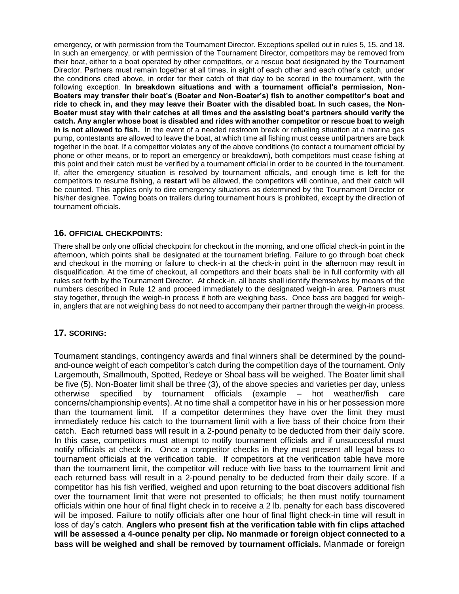emergency, or with permission from the Tournament Director. Exceptions spelled out in rules 5, 15, and 18. In such an emergency, or with permission of the Tournament Director, competitors may be removed from their boat, either to a boat operated by other competitors, or a rescue boat designated by the Tournament Director. Partners must remain together at all times, in sight of each other and each other's catch, under the conditions cited above, in order for their catch of that day to be scored in the tournament, with the following exception. **In breakdown situations and with a tournament official's permission, Non-Boaters may transfer their boat's (Boater and Non-Boater's) fish to another competitor's boat and ride to check in, and they may leave their Boater with the disabled boat. In such cases, the Non-Boater must stay with their catches at all times and the assisting boat's partners should verify the catch. Any angler whose boat is disabled and rides with another competitor or rescue boat to weigh in is not allowed to fish.** In the event of a needed restroom break or refueling situation at a marina gas pump, contestants are allowed to leave the boat, at which time all fishing must cease until partners are back together in the boat. If a competitor violates any of the above conditions (to contact a tournament official by phone or other means, or to report an emergency or breakdown), both competitors must cease fishing at this point and their catch must be verified by a tournament official in order to be counted in the tournament. If, after the emergency situation is resolved by tournament officials, and enough time is left for the competitors to resume fishing, a **restart** will be allowed, the competitors will continue, and their catch will be counted. This applies only to dire emergency situations as determined by the Tournament Director or his/her designee. Towing boats on trailers during tournament hours is prohibited, except by the direction of tournament officials.

# **16. OFFICIAL CHECKPOINTS:**

There shall be only one official checkpoint for checkout in the morning, and one official check-in point in the afternoon, which points shall be designated at the tournament briefing. Failure to go through boat check and checkout in the morning or failure to check-in at the check-in point in the afternoon may result in disqualification. At the time of checkout, all competitors and their boats shall be in full conformity with all rules set forth by the Tournament Director. At check-in, all boats shall identify themselves by means of the numbers described in Rule 12 and proceed immediately to the designated weigh-in area. Partners must stay together, through the weigh-in process if both are weighing bass. Once bass are bagged for weighin, anglers that are not weighing bass do not need to accompany their partner through the weigh-in process.

## **17. SCORING:**

Tournament standings, contingency awards and final winners shall be determined by the poundand-ounce weight of each competitor's catch during the competition days of the tournament. Only Largemouth, Smallmouth, Spotted, Redeye or Shoal bass will be weighed. The Boater limit shall be five (5), Non-Boater limit shall be three (3), of the above species and varieties per day, unless otherwise specified by tournament officials (example – hot weather/fish care concerns/championship events). At no time shall a competitor have in his or her possession more than the tournament limit. If a competitor determines they have over the limit they must immediately reduce his catch to the tournament limit with a live bass of their choice from their catch. Each returned bass will result in a 2-pound penalty to be deducted from their daily score. In this case, competitors must attempt to notify tournament officials and if unsuccessful must notify officials at check in. Once a competitor checks in they must present all legal bass to tournament officials at the verification table. If competitors at the verification table have more than the tournament limit, the competitor will reduce with live bass to the tournament limit and each returned bass will result in a 2-pound penalty to be deducted from their daily score. If a competitor has his fish verified, weighed and upon returning to the boat discovers additional fish over the tournament limit that were not presented to officials; he then must notify tournament officials within one hour of final flight check in to receive a 2 lb. penalty for each bass discovered will be imposed. Failure to notify officials after one hour of final flight check-in time will result in loss of day's catch. **Anglers who present fish at the verification table with fin clips attached will be assessed a 4-ounce penalty per clip. No manmade or foreign object connected to a bass will be weighed and shall be removed by tournament officials.** Manmade or foreign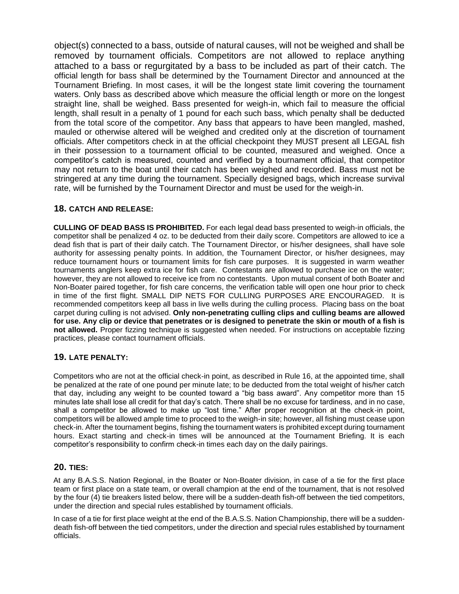object(s) connected to a bass, outside of natural causes, will not be weighed and shall be removed by tournament officials. Competitors are not allowed to replace anything attached to a bass or regurgitated by a bass to be included as part of their catch. The official length for bass shall be determined by the Tournament Director and announced at the Tournament Briefing. In most cases, it will be the longest state limit covering the tournament waters. Only bass as described above which measure the official length or more on the longest straight line, shall be weighed. Bass presented for weigh-in, which fail to measure the official length, shall result in a penalty of 1 pound for each such bass, which penalty shall be deducted from the total score of the competitor. Any bass that appears to have been mangled, mashed, mauled or otherwise altered will be weighed and credited only at the discretion of tournament officials. After competitors check in at the official checkpoint they MUST present all LEGAL fish in their possession to a tournament official to be counted, measured and weighed. Once a competitor's catch is measured, counted and verified by a tournament official, that competitor may not return to the boat until their catch has been weighed and recorded. Bass must not be stringered at any time during the tournament. Specially designed bags, which increase survival rate, will be furnished by the Tournament Director and must be used for the weigh-in.

# **18. CATCH AND RELEASE:**

**CULLING OF DEAD BASS IS PROHIBITED.** For each legal dead bass presented to weigh-in officials, the competitor shall be penalized 4 oz. to be deducted from their daily score. Competitors are allowed to ice a dead fish that is part of their daily catch. The Tournament Director, or his/her designees, shall have sole authority for assessing penalty points. In addition, the Tournament Director, or his/her designees, may reduce tournament hours or tournament limits for fish care purposes. It is suggested in warm weather tournaments anglers keep extra ice for fish care. Contestants are allowed to purchase ice on the water; however, they are not allowed to receive ice from no contestants. Upon mutual consent of both Boater and Non-Boater paired together, for fish care concerns, the verification table will open one hour prior to check in time of the first flight. SMALL DIP NETS FOR CULLING PURPOSES ARE ENCOURAGED. It is recommended competitors keep all bass in live wells during the culling process. Placing bass on the boat carpet during culling is not advised. **Only non-penetrating culling clips and culling beams are allowed for use. Any clip or device that penetrates or is designed to penetrate the skin or mouth of a fish is not allowed.** Proper fizzing technique is suggested when needed. For instructions on acceptable fizzing practices, please contact tournament officials.

## **19. LATE PENALTY:**

Competitors who are not at the official check-in point, as described in Rule 16, at the appointed time, shall be penalized at the rate of one pound per minute late; to be deducted from the total weight of his/her catch that day, including any weight to be counted toward a "big bass award". Any competitor more than 15 minutes late shall lose all credit for that day's catch. There shall be no excuse for tardiness, and in no case, shall a competitor be allowed to make up "lost time." After proper recognition at the check-in point, competitors will be allowed ample time to proceed to the weigh-in site; however, all fishing must cease upon check-in. After the tournament begins, fishing the tournament waters is prohibited except during tournament hours. Exact starting and check-in times will be announced at the Tournament Briefing. It is each competitor's responsibility to confirm check-in times each day on the daily pairings.

## **20. TIES:**

At any B.A.S.S. Nation Regional, in the Boater or Non-Boater division, in case of a tie for the first place team or first place on a state team, or overall champion at the end of the tournament, that is not resolved by the four (4) tie breakers listed below, there will be a sudden-death fish-off between the tied competitors, under the direction and special rules established by tournament officials.

In case of a tie for first place weight at the end of the B.A.S.S. Nation Championship, there will be a suddendeath fish-off between the tied competitors, under the direction and special rules established by tournament officials.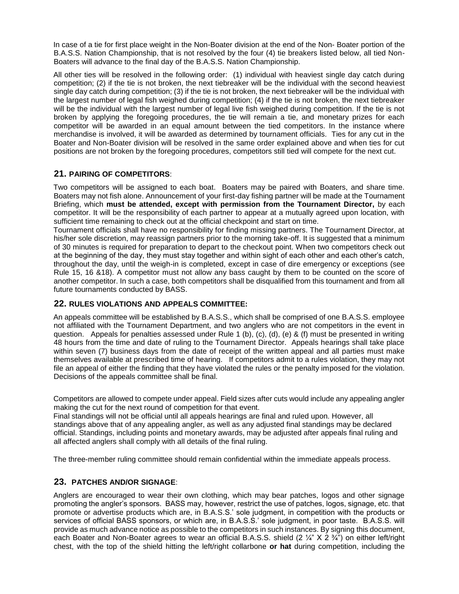In case of a tie for first place weight in the Non-Boater division at the end of the Non- Boater portion of the B.A.S.S. Nation Championship, that is not resolved by the four (4) tie breakers listed below, all tied Non-Boaters will advance to the final day of the B.A.S.S. Nation Championship.

All other ties will be resolved in the following order: (1) individual with heaviest single day catch during competition; (2) if the tie is not broken, the next tiebreaker will be the individual with the second heaviest single day catch during competition; (3) if the tie is not broken, the next tiebreaker will be the individual with the largest number of legal fish weighed during competition; (4) if the tie is not broken, the next tiebreaker will be the individual with the largest number of legal live fish weighed during competition. If the tie is not broken by applying the foregoing procedures, the tie will remain a tie, and monetary prizes for each competitor will be awarded in an equal amount between the tied competitors. In the instance where merchandise is involved, it will be awarded as determined by tournament officials. Ties for any cut in the Boater and Non-Boater division will be resolved in the same order explained above and when ties for cut positions are not broken by the foregoing procedures, competitors still tied will compete for the next cut.

# **21. PAIRING OF COMPETITORS**:

Two competitors will be assigned to each boat. Boaters may be paired with Boaters, and share time. Boaters may not fish alone. Announcement of your first-day fishing partner will be made at the Tournament Briefing, which **must be attended, except with permission from the Tournament Director,** by each competitor. It will be the responsibility of each partner to appear at a mutually agreed upon location, with sufficient time remaining to check out at the official checkpoint and start on time.

Tournament officials shall have no responsibility for finding missing partners. The Tournament Director, at his/her sole discretion, may reassign partners prior to the morning take-off. It is suggested that a minimum of 30 minutes is required for preparation to depart to the checkout point. When two competitors check out at the beginning of the day, they must stay together and within sight of each other and each other's catch, throughout the day, until the weigh-in is completed, except in case of dire emergency or exceptions (see Rule 15, 16 &18). A competitor must not allow any bass caught by them to be counted on the score of another competitor. In such a case, both competitors shall be disqualified from this tournament and from all future tournaments conducted by BASS.

## **22. RULES VIOLATIONS AND APPEALS COMMITTEE:**

An appeals committee will be established by B.A.S.S., which shall be comprised of one B.A.S.S. employee not affiliated with the Tournament Department, and two anglers who are not competitors in the event in question. Appeals for penalties assessed under Rule 1 (b), (c), (d), (e) & (f) must be presented in writing 48 hours from the time and date of ruling to the Tournament Director. Appeals hearings shall take place within seven (7) business days from the date of receipt of the written appeal and all parties must make themselves available at prescribed time of hearing. If competitors admit to a rules violation, they may not file an appeal of either the finding that they have violated the rules or the penalty imposed for the violation. Decisions of the appeals committee shall be final.

Competitors are allowed to compete under appeal. Field sizes after cuts would include any appealing angler making the cut for the next round of competition for that event.

Final standings will not be official until all appeals hearings are final and ruled upon. However, all standings above that of any appealing angler, as well as any adjusted final standings may be declared official. Standings, including points and monetary awards, may be adjusted after appeals final ruling and all affected anglers shall comply with all details of the final ruling.

The three-member ruling committee should remain confidential within the immediate appeals process.

# **23. PATCHES AND/OR SIGNAGE**:

Anglers are encouraged to wear their own clothing, which may bear patches, logos and other signage promoting the angler's sponsors. BASS may, however, restrict the use of patches, logos, signage, etc. that promote or advertise products which are, in B.A.S.S.' sole judgment, in competition with the products or services of official BASS sponsors, or which are, in B.A.S.S.' sole judgment, in poor taste. B.A.S.S. will provide as much advance notice as possible to the competitors in such instances. By signing this document, each Boater and Non-Boater agrees to wear an official B.A.S.S. shield  $(2 \frac{1}{4} \times 2 \frac{3}{4})$  on either left/right chest, with the top of the shield hitting the left/right collarbone **or hat** during competition, including the